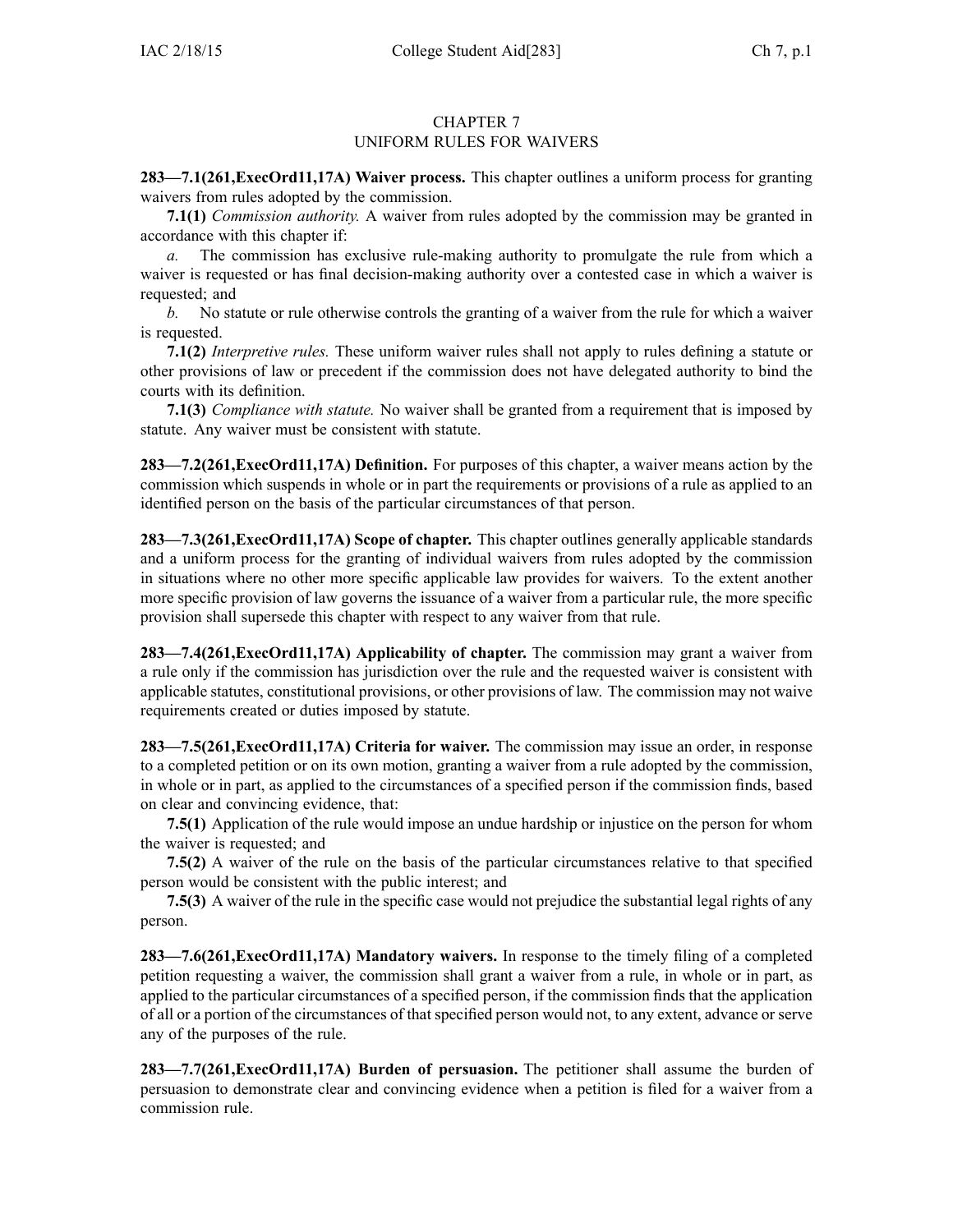## CHAPTER 7 UNIFORM RULES FOR WAIVERS

**283—7.1(261,ExecOrd11,17A) Waiver process.** This chapter outlines <sup>a</sup> uniform process for granting waivers from rules adopted by the commission.

**7.1(1)** *Commission authority.* A waiver from rules adopted by the commission may be granted in accordance with this chapter if:

*a.* The commission has exclusive rule-making authority to promulgate the rule from which <sup>a</sup> waiver is requested or has final decision-making authority over <sup>a</sup> contested case in which <sup>a</sup> waiver is requested; and

*b.* No statute or rule otherwise controls the granting of <sup>a</sup> waiver from the rule for which <sup>a</sup> waiver is requested.

**7.1(2)** *Interpretive rules.* These uniform waiver rules shall not apply to rules defining <sup>a</sup> statute or other provisions of law or precedent if the commission does not have delegated authority to bind the courts with its definition.

**7.1(3)** *Compliance with statute.* No waiver shall be granted from <sup>a</sup> requirement that is imposed by statute. Any waiver must be consistent with statute.

**283—7.2(261,ExecOrd11,17A) Definition.** For purposes of this chapter, <sup>a</sup> waiver means action by the commission which suspends in whole or in par<sup>t</sup> the requirements or provisions of <sup>a</sup> rule as applied to an identified person on the basis of the particular circumstances of that person.

**283—7.3(261,ExecOrd11,17A) Scope of chapter.** This chapter outlines generally applicable standards and <sup>a</sup> uniform process for the granting of individual waivers from rules adopted by the commission in situations where no other more specific applicable law provides for waivers. To the extent another more specific provision of law governs the issuance of <sup>a</sup> waiver from <sup>a</sup> particular rule, the more specific provision shall supersede this chapter with respec<sup>t</sup> to any waiver from that rule.

**283—7.4(261,ExecOrd11,17A) Applicability of chapter.** The commission may gran<sup>t</sup> <sup>a</sup> waiver from <sup>a</sup> rule only if the commission has jurisdiction over the rule and the requested waiver is consistent with applicable statutes, constitutional provisions, or other provisions of law. The commission may not waive requirements created or duties imposed by statute.

**283—7.5(261,ExecOrd11,17A) Criteria for waiver.** The commission may issue an order, in response to <sup>a</sup> completed petition or on its own motion, granting <sup>a</sup> waiver from <sup>a</sup> rule adopted by the commission, in whole or in part, as applied to the circumstances of <sup>a</sup> specified person if the commission finds, based on clear and convincing evidence, that:

**7.5(1)** Application of the rule would impose an undue hardship or injustice on the person for whom the waiver is requested; and

**7.5(2)** A waiver of the rule on the basis of the particular circumstances relative to that specified person would be consistent with the public interest; and

**7.5(3)** A waiver of the rule in the specific case would not prejudice the substantial legal rights of any person.

**283—7.6(261,ExecOrd11,17A) Mandatory waivers.** In response to the timely filing of <sup>a</sup> completed petition requesting <sup>a</sup> waiver, the commission shall gran<sup>t</sup> <sup>a</sup> waiver from <sup>a</sup> rule, in whole or in part, as applied to the particular circumstances of <sup>a</sup> specified person, if the commission finds that the application of all or <sup>a</sup> portion of the circumstances of that specified person would not, to any extent, advance or serve any of the purposes of the rule.

**283—7.7(261,ExecOrd11,17A) Burden of persuasion.** The petitioner shall assume the burden of persuasion to demonstrate clear and convincing evidence when <sup>a</sup> petition is filed for <sup>a</sup> waiver from <sup>a</sup> commission rule.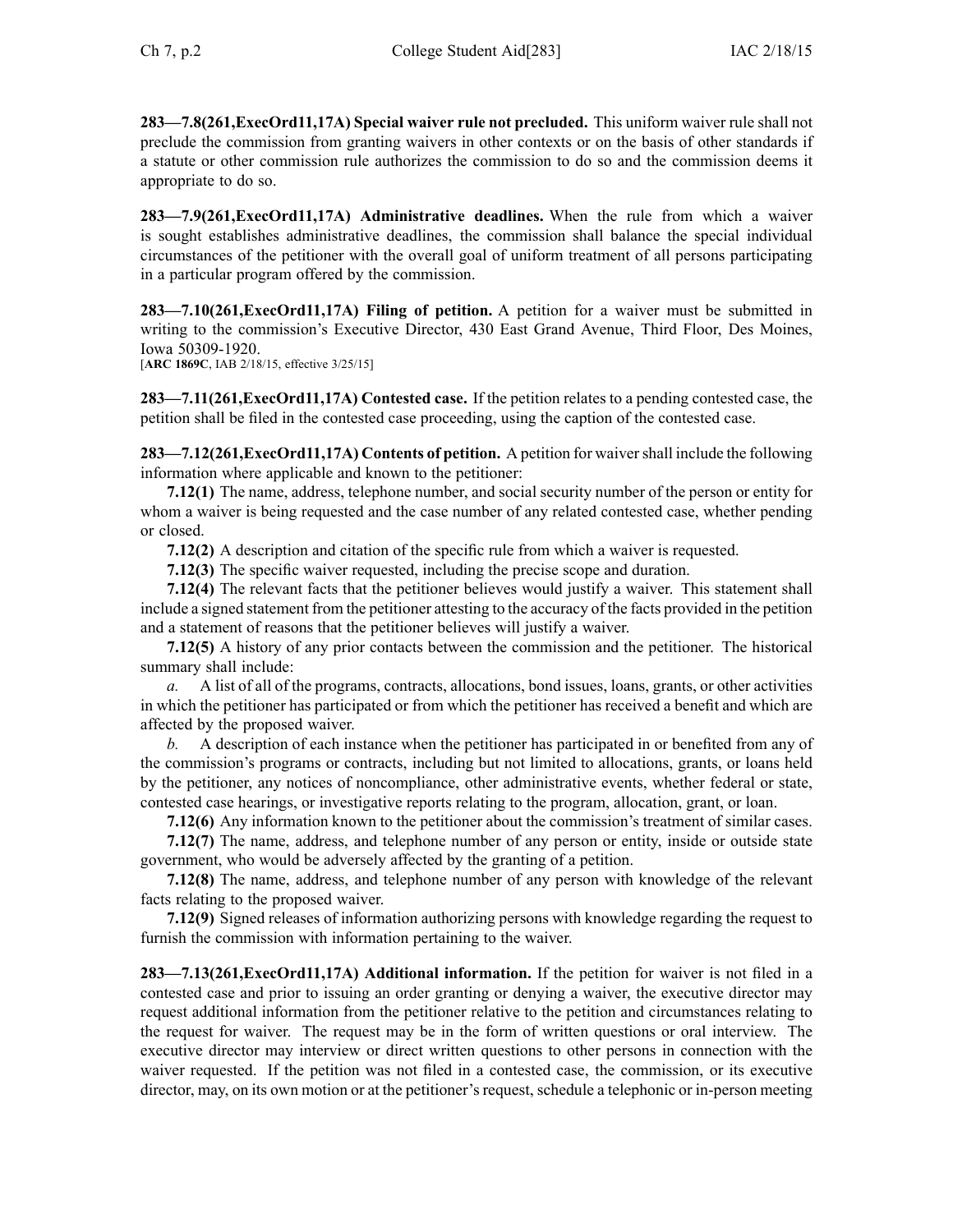**283—7.8(261,ExecOrd11,17A) Special waiver rule not precluded.** This uniform waiver rule shall not preclude the commission from granting waivers in other contexts or on the basis of other standards if <sup>a</sup> statute or other commission rule authorizes the commission to do so and the commission deems it appropriate to do so.

**283—7.9(261,ExecOrd11,17A) Administrative deadlines.** When the rule from which <sup>a</sup> waiver is sought establishes administrative deadlines, the commission shall balance the special individual circumstances of the petitioner with the overall goal of uniform treatment of all persons participating in <sup>a</sup> particular program offered by the commission.

**283—7.10(261,ExecOrd11,17A) Filing of petition.** A petition for <sup>a</sup> waiver must be submitted in writing to the commission's Executive Director, 430 East Grand Avenue, Third Floor, Des Moines, Iowa 50309-1920.

[**ARC 1869C**, IAB 2/18/15, effective 3/25/15]

**283—7.11(261,ExecOrd11,17A) Contested case.** If the petition relates to <sup>a</sup> pending contested case, the petition shall be filed in the contested case proceeding, using the caption of the contested case.

**283—7.12(261,ExecOrd11,17A) Contents of petition.** A petition for waiver shall include the following information where applicable and known to the petitioner:

**7.12(1)** The name, address, telephone number, and social security number of the person or entity for whom <sup>a</sup> waiver is being requested and the case number of any related contested case, whether pending or closed.

**7.12(2)** A description and citation of the specific rule from which <sup>a</sup> waiver is requested.

**7.12(3)** The specific waiver requested, including the precise scope and duration.

**7.12(4)** The relevant facts that the petitioner believes would justify <sup>a</sup> waiver. This statement shall include <sup>a</sup> signed statement from the petitioner attesting to the accuracy of the facts provided in the petition and <sup>a</sup> statement of reasons that the petitioner believes will justify <sup>a</sup> waiver.

**7.12(5)** A history of any prior contacts between the commission and the petitioner. The historical summary shall include:

*a.* A list of all of the programs, contracts, allocations, bond issues, loans, grants, or other activities in which the petitioner has participated or from which the petitioner has received <sup>a</sup> benefit and which are affected by the proposed waiver.

*b.* A description of each instance when the petitioner has participated in or benefited from any of the commission's programs or contracts, including but not limited to allocations, grants, or loans held by the petitioner, any notices of noncompliance, other administrative events, whether federal or state, contested case hearings, or investigative reports relating to the program, allocation, grant, or loan.

**7.12(6)** Any information known to the petitioner about the commission's treatment of similar cases.

**7.12(7)** The name, address, and telephone number of any person or entity, inside or outside state government, who would be adversely affected by the granting of <sup>a</sup> petition.

**7.12(8)** The name, address, and telephone number of any person with knowledge of the relevant facts relating to the proposed waiver.

**7.12(9)** Signed releases of information authorizing persons with knowledge regarding the reques<sup>t</sup> to furnish the commission with information pertaining to the waiver.

**283—7.13(261,ExecOrd11,17A) Additional information.** If the petition for waiver is not filed in <sup>a</sup> contested case and prior to issuing an order granting or denying <sup>a</sup> waiver, the executive director may reques<sup>t</sup> additional information from the petitioner relative to the petition and circumstances relating to the reques<sup>t</sup> for waiver. The reques<sup>t</sup> may be in the form of written questions or oral interview. The executive director may interview or direct written questions to other persons in connection with the waiver requested. If the petition was not filed in <sup>a</sup> contested case, the commission, or its executive director, may, on its own motion or at the petitioner's request, schedule <sup>a</sup> telephonic or in-person meeting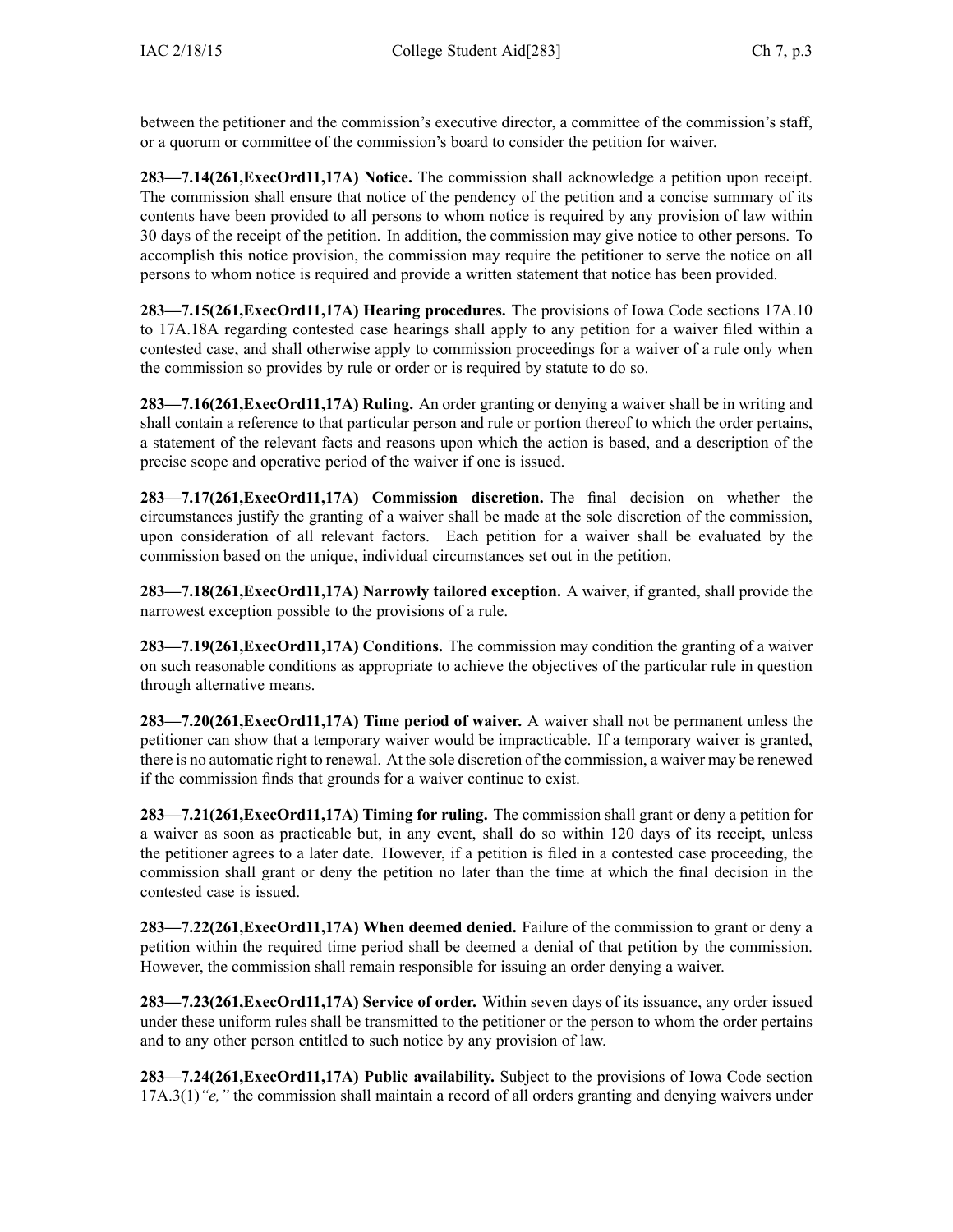between the petitioner and the commission's executive director, <sup>a</sup> committee of the commission's staff, or <sup>a</sup> quorum or committee of the commission's board to consider the petition for waiver.

**283—7.14(261,ExecOrd11,17A) Notice.** The commission shall acknowledge <sup>a</sup> petition upon receipt. The commission shall ensure that notice of the pendency of the petition and <sup>a</sup> concise summary of its contents have been provided to all persons to whom notice is required by any provision of law within 30 days of the receipt of the petition. In addition, the commission may give notice to other persons. To accomplish this notice provision, the commission may require the petitioner to serve the notice on all persons to whom notice is required and provide <sup>a</sup> written statement that notice has been provided.

**283—7.15(261,ExecOrd11,17A) Hearing procedures.** The provisions of Iowa Code sections [17A.10](https://www.legis.iowa.gov/docs/ico/section/17A.10.pdf) to [17A.18A](https://www.legis.iowa.gov/docs/ico/section/17A.18A.pdf) regarding contested case hearings shall apply to any petition for <sup>a</sup> waiver filed within <sup>a</sup> contested case, and shall otherwise apply to commission proceedings for <sup>a</sup> waiver of <sup>a</sup> rule only when the commission so provides by rule or order or is required by statute to do so.

**283—7.16(261,ExecOrd11,17A) Ruling.** An order granting or denying <sup>a</sup> waiver shall be in writing and shall contain <sup>a</sup> reference to that particular person and rule or portion thereof to which the order pertains, <sup>a</sup> statement of the relevant facts and reasons upon which the action is based, and <sup>a</sup> description of the precise scope and operative period of the waiver if one is issued.

**283—7.17(261,ExecOrd11,17A) Commission discretion.** The final decision on whether the circumstances justify the granting of <sup>a</sup> waiver shall be made at the sole discretion of the commission, upon consideration of all relevant factors. Each petition for <sup>a</sup> waiver shall be evaluated by the commission based on the unique, individual circumstances set out in the petition.

**283—7.18(261,ExecOrd11,17A) Narrowly tailored exception.** A waiver, if granted, shall provide the narrowest exception possible to the provisions of <sup>a</sup> rule.

**283—7.19(261,ExecOrd11,17A) Conditions.** The commission may condition the granting of <sup>a</sup> waiver on such reasonable conditions as appropriate to achieve the objectives of the particular rule in question through alternative means.

**283—7.20(261,ExecOrd11,17A) Time period of waiver.** A waiver shall not be permanen<sup>t</sup> unless the petitioner can show that <sup>a</sup> temporary waiver would be impracticable. If <sup>a</sup> temporary waiver is granted, there is no automatic right to renewal. At the sole discretion of the commission, <sup>a</sup> waiver may be renewed if the commission finds that grounds for <sup>a</sup> waiver continue to exist.

**283—7.21(261,ExecOrd11,17A) Timing for ruling.** The commission shall gran<sup>t</sup> or deny <sup>a</sup> petition for <sup>a</sup> waiver as soon as practicable but, in any event, shall do so within 120 days of its receipt, unless the petitioner agrees to <sup>a</sup> later date. However, if <sup>a</sup> petition is filed in <sup>a</sup> contested case proceeding, the commission shall gran<sup>t</sup> or deny the petition no later than the time at which the final decision in the contested case is issued.

**283—7.22(261,ExecOrd11,17A) When deemed denied.** Failure of the commission to gran<sup>t</sup> or deny <sup>a</sup> petition within the required time period shall be deemed <sup>a</sup> denial of that petition by the commission. However, the commission shall remain responsible for issuing an order denying <sup>a</sup> waiver.

**283—7.23(261,ExecOrd11,17A) Service of order.** Within seven days of its issuance, any order issued under these uniform rules shall be transmitted to the petitioner or the person to whom the order pertains and to any other person entitled to such notice by any provision of law.

**283—7.24(261,ExecOrd11,17A) Public availability.** Subject to the provisions of Iowa Code section [17A.3\(1\)](https://www.legis.iowa.gov/docs/ico/section/17A.3.pdf)*"e,"* the commission shall maintain <sup>a</sup> record of all orders granting and denying waivers under